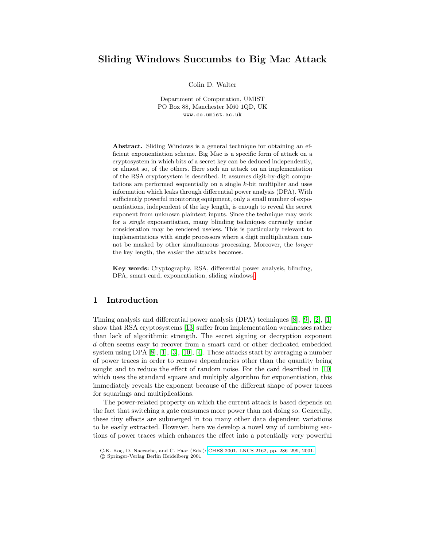Colin D. Walter

Department of Computation, UMIST PO Box 88, Manchester M60 1QD, UK www.co.umist.ac.uk

Abstract. Sliding Windows is a general technique for obtaining an efficient exponentiation scheme. Big Mac is a specific form of attack on a cryptosystem in which bits of a secret key can be deduced independently, or almost so, of the others. Here such an attack on an implementation of the RSA cryptosystem is described. It assumes digit-by-digit computations are performed sequentially on a single k-bit multiplier and uses information which leaks through differential power analysis (DPA). With sufficiently powerful monitoring equipment, only a small number of exponentiations, independent of the key length, is enough to reveal the secret exponent from unknown plaintext inputs. Since the technique may work for a single exponentiation, many blinding techniques currently under consideration may be rendered useless. This is particularly relevant to implementations with single processors where a digit multiplication cannot be masked by other simultaneous processing. Moreover, the longer the key length, the easier the attacks becomes.

Key words: Cryptography, RSA, differential power analysis, blinding, DPA, smart card, exponentiation, sliding windows[.](#page-0-0)

### 1 Introduction

Timing analysis and differential power analysis (DPA) techniques [\[8\]](#page-13-0), [\[9\]](#page-13-1), [\[2\]](#page-13-2), [\[1\]](#page-12-0) show that RSA cryptosystems [\[13\]](#page-13-3) suffer from implementation weaknesses rather than lack of algorithmic strength. The secret signing or decryption exponent d often seems easy to recover from a smart card or other dedicated embedded system using DPA [\[8\]](#page-13-0), [\[1\]](#page-12-0), [\[3\]](#page-13-4), [\[10\]](#page-13-5), [\[4\]](#page-13-6). These attacks start by averaging a number of power traces in order to remove dependencies other than the quantity being sought and to reduce the effect of random noise. For the card described in [\[10\]](#page-13-5) which uses the standard square and multiply algorithm for exponentiation, this immediately reveals the exponent because of the different shape of power traces for squarings and multiplications.

The power-related property on which the current attack is based depends on the fact that switching a gate consumes more power than not doing so. Generally, these tiny effects are submerged in too many other data dependent variations to be easily extracted. However, here we develop a novel way of combining sections of power traces which enhances the effect into a potentially very powerful

<span id="page-0-0"></span>C.K. Koç, D. Naccache, and C. Paar (Eds.): [CHES 2001, LNCS 2162, pp. 286–299, 2001.](http://www.springerlink.com/content/9y158f77brxgbnwp.pdf)

c Springer-Verlag Berlin Heidelberg 2001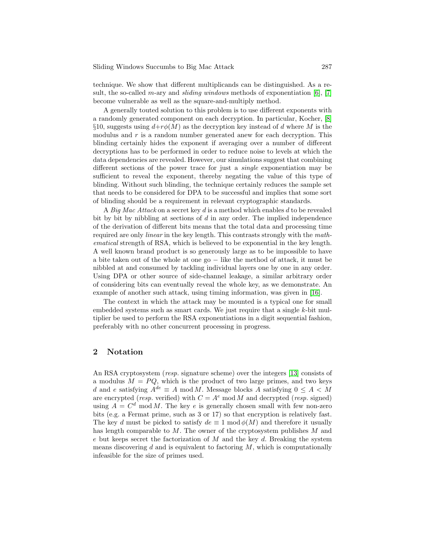technique. We show that different multiplicands can be distinguished. As a result, the so-called m-ary and *sliding windows* methods of exponentiation  $[6]$ ,  $[7]$ become vulnerable as well as the square-and-multiply method.

A generally touted solution to this problem is to use different exponents with a randomly generated component on each decryption. In particular, Kocher, [\[8\]](#page-13-0) §10, suggests using  $d+r\phi(M)$  as the decryption key instead of d where M is the modulus and  $r$  is a random number generated anew for each decryption. This blinding certainly hides the exponent if averaging over a number of different decryptions has to be performed in order to reduce noise to levels at which the data dependencies are revealed. However, our simulations suggest that combining different sections of the power trace for just a single exponentiation may be sufficient to reveal the exponent, thereby negating the value of this type of blinding. Without such blinding, the technique certainly reduces the sample set that needs to be considered for DPA to be successful and implies that some sort of blinding should be a requirement in relevant cryptographic standards.

A Big Mac Attack on a secret key  $d$  is a method which enables  $d$  to be revealed bit by bit by nibbling at sections of  $d$  in any order. The implied independence of the derivation of different bits means that the total data and processing time required are only linear in the key length. This contrasts strongly with the mathematical strength of RSA, which is believed to be exponential in the key length. A well known brand product is so generously large as to be impossible to have a bite taken out of the whole at one go − like the method of attack, it must be nibbled at and consumed by tackling individual layers one by one in any order. Using DPA or other source of side-channel leakage, a similar arbitrary order of considering bits can eventually reveal the whole key, as we demonstrate. An example of another such attack, using timing information, was given in [\[16\]](#page-13-9).

The context in which the attack may be mounted is a typical one for small embedded systems such as smart cards. We just require that a single  $k$ -bit multiplier be used to perform the RSA exponentiations in a digit sequential fashion, preferably with no other concurrent processing in progress.

### 2 Notation

An RSA cryptosystem (resp. signature scheme) over the integers [\[13\]](#page-13-3) consists of a modulus  $M = PQ$ , which is the product of two large primes, and two keys d and e satisfying  $A^{de} \equiv A \mod M$ . Message blocks A satisfying  $0 \leq A \leq M$ are encrypted (resp. verified) with  $C = A^e \mod M$  and decrypted (resp. signed) using  $A = C^d \mod M$ . The key e is generally chosen small with few non-zero bits (e.g. a Fermat prime, such as 3 or 17) so that encryption is relatively fast. The key d must be picked to satisfy  $de \equiv 1 \mod \phi(M)$  and therefore it usually has length comparable to M. The owner of the cryptosystem publishes M and e but keeps secret the factorization of  $M$  and the key  $d$ . Breaking the system means discovering  $d$  and is equivalent to factoring  $M$ , which is computationally infeasible for the size of primes used.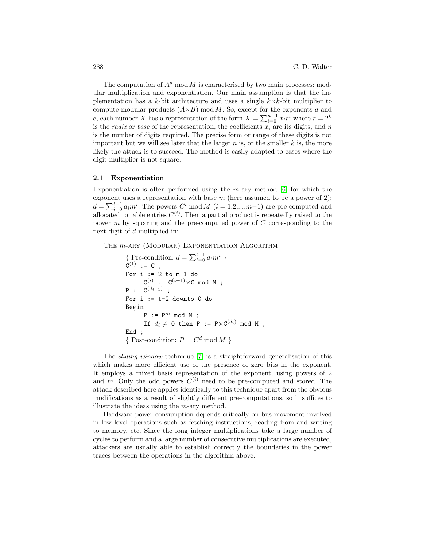The computation of  $A^d$  mod M is characterised by two main processes: modular multiplication and exponentiation. Our main assumption is that the implementation has a k-bit architecture and uses a single  $k \times k$ -bit multiplier to compute modular products  $(A\times B)$  mod M. So, except for the exponents d and e, each number X has a representation of the form  $X = \sum_{i=0}^{n-1} x_i r^i$  where  $r = 2^k$ is the *radix* or *base* of the representation, the coefficients  $x_i$  are its digits, and n is the number of digits required. The precise form or range of these digits is not important but we will see later that the larger  $n$  is, or the smaller  $k$  is, the more likely the attack is to succeed. The method is easily adapted to cases where the digit multiplier is not square.

#### 2.1 Exponentiation

Exponentiation is often performed using the  $m$ -ary method  $[6]$  for which the exponent uses a representation with base  $m$  (here assumed to be a power of 2):  $d = \sum_{i=0}^{t-1} d_i m^i$ . The powers  $C^i \mod M$   $(i = 1, 2, ..., m-1)$  are pre-computed and allocated to table entries  $C^{(i)}$ . Then a partial product is repeatedly raised to the power m by squaring and the pre-computed power of  $C$  corresponding to the next digit of d multiplied in:

THE *m*-ARY (MODULAR) EXPONENTIATION ALGORITHM

```
{ Pre-condition: d = \sum_{i=0}^{t-1} d_i m^i }
C^{(1)} := C;For i := 2 to m-1 do
       C^{(i)} := C^{(i-1)} \times C mod M ;
P := C^{(d_{t-1})} ;
For i := t-2 downto 0 do
Begin
      P := P^m \mod M;
       If d_i \neq 0 then P := P \times C^{(d_i)} mod M ;
End ;
{ Post-condition: P = C^d \mod M }
```
The sliding window technique [\[7\]](#page-13-8) is a straightforward generalisation of this which makes more efficient use of the presence of zero bits in the exponent. It employs a mixed basis representation of the exponent, using powers of 2 and m. Only the odd powers  $C^{(i)}$  need to be pre-computed and stored. The attack described here applies identically to this technique apart from the obvious modifications as a result of slightly different pre-computations, so it suffices to illustrate the ideas using the m-ary method.

Hardware power consumption depends critically on bus movement involved in low level operations such as fetching instructions, reading from and writing to memory, etc. Since the long integer multiplications take a large number of cycles to perform and a large number of consecutive multiplications are executed, attackers are usually able to establish correctly the boundaries in the power traces between the operations in the algorithm above.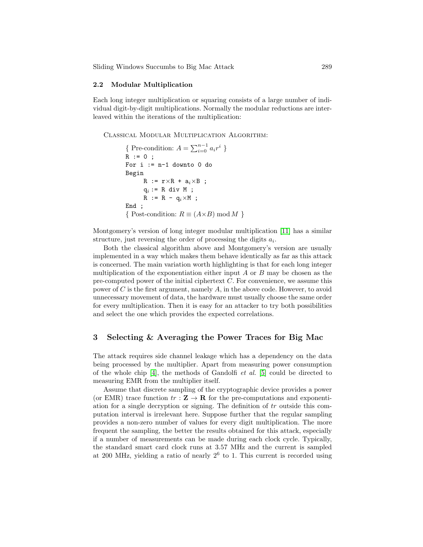#### 2.2 Modular Multiplication

Each long integer multiplication or squaring consists of a large number of individual digit-by-digit multiplications. Normally the modular reductions are interleaved within the iterations of the multiplication:

Classical Modular Multiplication Algorithm:

```
{ Pre-condition: A = \sum_{i=0}^{n-1} a_i r^i }
R := 0 ;
For i := n-1 downto 0 do
Begin
       R := r \times R + a_i \times B;
       q_i := R div M;
       R := R - q_i \times M;End ;
{ Post-condition: R \equiv (A \times B) \mod M }
```
Montgomery's version of long integer modular multiplication [\[11\]](#page-13-10) has a similar structure, just reversing the order of processing the digits  $a_i$ .

Both the classical algorithm above and Montgomery's version are usually implemented in a way which makes them behave identically as far as this attack is concerned. The main variation worth highlighting is that for each long integer multiplication of the exponentiation either input  $A$  or  $B$  may be chosen as the pre-computed power of the initial ciphertext  $C$ . For convenience, we assume this power of C is the first argument, namely  $A$ , in the above code. However, to avoid unnecessary movement of data, the hardware must usually choose the same order for every multiplication. Then it is easy for an attacker to try both possibilities and select the one which provides the expected correlations.

### 3 Selecting & Averaging the Power Traces for Big Mac

The attack requires side channel leakage which has a dependency on the data being processed by the multiplier. Apart from measuring power consumption of the whole chip  $[4]$ , the methods of Gandolfi *et al.* [\[5\]](#page-13-11) could be directed to measuring EMR from the multiplier itself.

Assume that discrete sampling of the cryptographic device provides a power (or EMR) trace function  $tr : \mathbf{Z} \to \mathbf{R}$  for the pre-computations and exponentiation for a single decryption or signing. The definition of tr outside this computation interval is irrelevant here. Suppose further that the regular sampling provides a non-zero number of values for every digit multiplication. The more frequent the sampling, the better the results obtained for this attack, especially if a number of measurements can be made during each clock cycle. Typically, the standard smart card clock runs at 3.57 MHz and the current is sampled at 200 MHz, yielding a ratio of nearly  $2^6$  to 1. This current is recorded using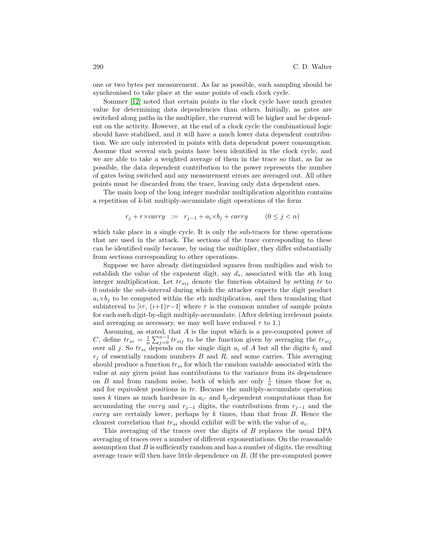one or two bytes per measurement. As far as possible, such sampling should be synchronised to take place at the same points of each clock cycle.

Sommer [\[12\]](#page-13-12) noted that certain points in the clock cycle have much greater value for determining data dependencies than others. Initially, as gates are switched along paths in the multiplier, the current will be higher and be dependent on the activity. However, at the end of a clock cycle the combinational logic should have stabilised, and it will have a much lower data dependent contribution. We are only interested in points with data dependent power consumption. Assume that several such points have been identified in the clock cycle, and we are able to take a weighted average of them in the trace so that, as far as possible, the data dependent contribution to the power represents the number of gates being switched and any measurement errors are averaged out. All other points must be discarded from the trace, leaving only data dependent ones.

The main loop of the long integer modular multiplication algorithm contains a repetition of k-bit multiply-accumulate digit operations of the form

$$
r_j + r \times carry \quad := \quad r_{j-1} + a_i \times b_j + carry \qquad (0 \le j < n)
$$

which take place in a single cycle. It is only the sub-traces for these operations that are used in the attack. The sections of the trace corresponding to these can be identified easily because, by using the multiplier, they differ substantially from sections corresponding to other operations.

Suppose we have already distinguished squares from multiplies and wish to establish the value of the exponent digit, say  $d_s$ , associated with the sth long integer multiplication. Let  $tr_{sij}$  denote the function obtained by setting tr to 0 outside the sub-interval during which the attacker expects the digit product  $a_i \times b_i$  to be computed within the sth multiplication, and then translating that subinterval to  $[i\tau, (i+1)\tau-1]$  where  $\tau$  is the common number of sample points for each such digit-by-digit multiply-accumulate. (After deleting irrelevant points and averaging as necessary, we may well have reduced  $\tau$  to 1.)

Assuming, as stated, that A is the input which is a pre-computed power of C, define  $tr_{si} = \frac{1}{n} \sum_{j=0}^{n-1} tr_{sij}$  to be the function given by averaging the  $tr_{sij}$ over all j. So  $tr_{si}$  depends on the single digit  $a_i$  of A but all the digits  $b_j$  and  $r_j$  of essentially random numbers B and R, and some carries. This averaging should produce a function  $tr_{si}$  for which the random variable associated with the value at any given point has contributions to the variance from its dependence on B and from random noise, both of which are only  $\frac{1}{n}$  times those for  $a_i$ and for equivalent positions in tr. Because the multiply-accumulate operation uses k times as much hardware in  $a_i$ - and  $b_j$ -dependent computations than for accumulating the *carry* and  $r_{j-1}$  digits, the contributions from  $r_{j-1}$  and the carry are certainly lower, perhaps by  $k$  times, than that from  $B$ . Hence the clearest correlation that  $tr_{si}$  should exhibit will be with the value of  $a_i$ .

This averaging of the traces over the digits of B replaces the usual DPA averaging of traces over a number of different exponentiations. On the reasonable assumption that  $B$  is sufficiently random and has a number of digits, the resulting average trace will then have little dependence on B. (If the pre-computed power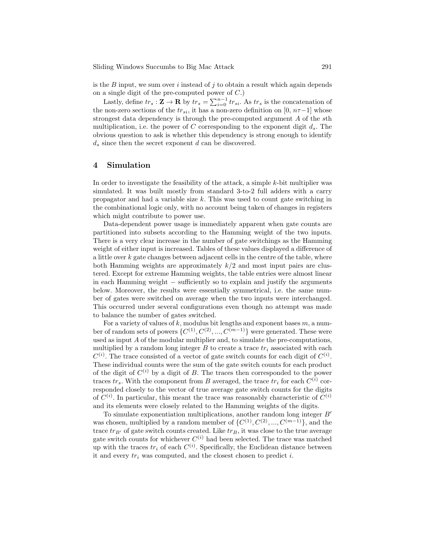is the B input, we sum over i instead of j to obtain a result which again depends on a single digit of the pre-computed power of  $C$ .)

Lastly, define  $tr_s: \mathbf{Z} \to \mathbf{R}$  by  $tr_s = \sum_{i=0}^{n-1} tr_{si}$ . As  $tr_s$  is the concatenation of the non-zero sections of the  $tr_{si}$ , it has a non-zero definition on [0,  $n\tau-1$ ] whose strongest data dependency is through the pre-computed argument  $A$  of the sth multiplication, i.e. the power of C corresponding to the exponent digit  $d_s$ . The obvious question to ask is whether this dependency is strong enough to identify  $d_s$  since then the secret exponent d can be discovered.

### 4 Simulation

In order to investigate the feasibility of the attack, a simple  $k$ -bit multiplier was simulated. It was built mostly from standard 3-to-2 full adders with a carry propagator and had a variable size  $k$ . This was used to count gate switching in the combinational logic only, with no account being taken of changes in registers which might contribute to power use.

Data-dependent power usage is immediately apparent when gate counts are partitioned into subsets according to the Hamming weight of the two inputs. There is a very clear increase in the number of gate switchings as the Hamming weight of either input is increased. Tables of these values displayed a difference of a little over  $k$  gate changes between adjacent cells in the centre of the table, where both Hamming weights are approximately  $k/2$  and most input pairs are clustered. Except for extreme Hamming weights, the table entries were almost linear in each Hamming weight − sufficiently so to explain and justify the arguments below. Moreover, the results were essentially symmetrical, i.e. the same number of gates were switched on average when the two inputs were interchanged. This occurred under several configurations even though no attempt was made to balance the number of gates switched.

For a variety of values of  $k$ , modulus bit lengths and exponent bases  $m$ , a number of random sets of powers  $\{C^{(1)}, C^{(2)}, ..., C^{(m-1)}\}$  were generated. These were used as input A of the modular multiplier and, to simulate the pre-computations, multiplied by a random long integer  $B$  to create a trace  $tr_i$  associated with each  $C^{(i)}$ . The trace consisted of a vector of gate switch counts for each digit of  $C^{(i)}$ . These individual counts were the sum of the gate switch counts for each product of the digit of  $C^{(i)}$  by a digit of B. The traces then corresponded to the power traces  $tr_s$ . With the component from B averaged, the trace  $tr_i$  for each  $C^{(i)}$  corresponded closely to the vector of true average gate switch counts for the digits of  $C^{(i)}$ . In particular, this meant the trace was reasonably characteristic of  $C^{(i)}$ and its elements were closely related to the Hamming weights of the digits.

To simulate exponentiation multiplications, another random long integer  $B'$ was chosen, multiplied by a random member of  $\{C^{(1)}, C^{(2)}, ..., C^{(m-1)}\}$ , and the trace  $tr_{B'}$  of gate switch counts created. Like  $tr_B$ , it was close to the true average gate switch counts for whichever  $C^{(i)}$  had been selected. The trace was matched up with the traces  $tr_i$  of each  $C^{(i)}$ . Specifically, the Euclidean distance between it and every  $tr_i$  was computed, and the closest chosen to predict i.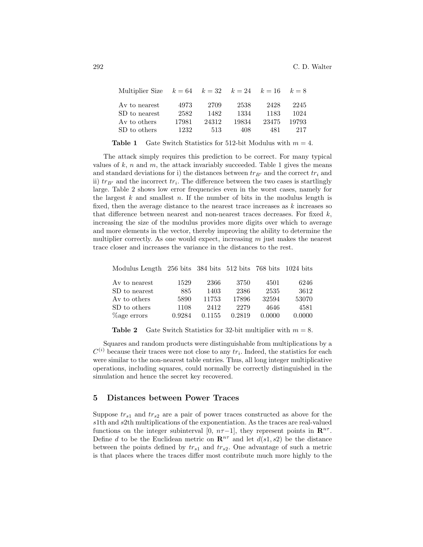| Multiplier Size $k = 64$ $k = 32$ $k = 24$ $k = 16$ $k = 8$ |       |       |       |       |       |
|-------------------------------------------------------------|-------|-------|-------|-------|-------|
| Av to nearest                                               | 4973  | 2709  | 2538  | 2428  | 2245  |
| SD to nearest                                               | 2582  | 1482  | 1334  | 1183  | 1024  |
| Ay to others                                                | 17981 | 24312 | 19834 | 23475 | 19793 |
| SD to others                                                | 1232  | 513   | 408.  | 481   | 217   |

**Table 1** Gate Switch Statistics for 512-bit Modulus with  $m = 4$ .

The attack simply requires this prediction to be correct. For many typical values of  $k$ , n and  $m$ , the attack invariably succeeded. Table 1 gives the means and standard deviations for i) the distances between  $tr_{B'}$  and the correct  $tr_i$  and ii)  $tr_{B'}$  and the incorrect  $tr_i$ . The difference between the two cases is startlingly large. Table 2 shows low error frequencies even in the worst cases, namely for the largest  $k$  and smallest  $n$ . If the number of bits in the modulus length is fixed, then the average distance to the nearest trace increases as  $k$  increases so that difference between nearest and non-nearest traces decreases. For fixed  $k$ , increasing the size of the modulus provides more digits over which to average and more elements in the vector, thereby improving the ability to determine the multiplier correctly. As one would expect, increasing  $m$  just makes the nearest trace closer and increases the variance in the distances to the rest.

| Modulus Length 256 bits 384 bits 512 bits 768 bits 1024 bits |        |        |        |        |        |
|--------------------------------------------------------------|--------|--------|--------|--------|--------|
| Ay to nearest                                                | 1529   | 2366   | 3750   | 4501   | 6246   |
| SD to nearest                                                | 885    | 1403   | 2386   | 2535   | 3612   |
| Av to others                                                 | 5890   | 11753  | 17896  | 32594  | 53070  |
| SD to others                                                 | 1108   | 2412   | 2279   | 4646   | 4581   |
| Lage errors                                                  | 0.9284 | 0.1155 | 0.2819 | 0.0000 | 0.0000 |

**Table 2** Gate Switch Statistics for 32-bit multiplier with  $m = 8$ .

Squares and random products were distinguishable from multiplications by a  $C^{(i)}$  because their traces were not close to any  $tr_i$ . Indeed, the statistics for each were similar to the non-nearest table entries. Thus, all long integer multiplicative operations, including squares, could normally be correctly distinguished in the simulation and hence the secret key recovered.

#### 5 Distances between Power Traces

Suppose  $tr_{s1}$  and  $tr_{s2}$  are a pair of power traces constructed as above for the s1th and s2th multiplications of the exponentiation. As the traces are real-valued functions on the integer subinterval [0,  $n\tau-1$ ], they represent points in  $\mathbb{R}^{n\tau}$ . Define d to be the Euclidean metric on  $\mathbf{R}^{n\tau}$  and let  $d(s_1, s_2)$  be the distance between the points defined by  $tr_{s1}$  and  $tr_{s2}$ . One advantage of such a metric is that places where the traces differ most contribute much more highly to the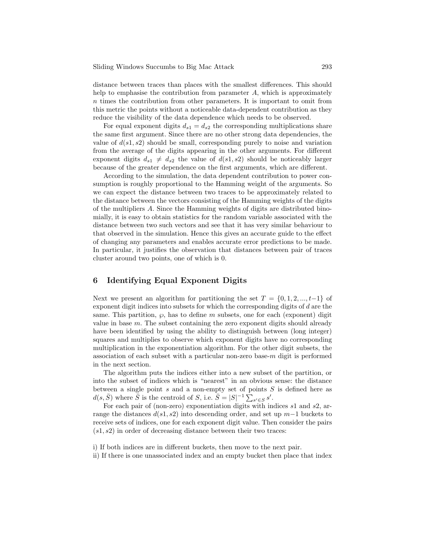distance between traces than places with the smallest differences. This should help to emphasise the contribution from parameter  $A$ , which is approximately n times the contribution from other parameters. It is important to omit from this metric the points without a noticeable data-dependent contribution as they reduce the visibility of the data dependence which needs to be observed.

For equal exponent digits  $d_{s1} = d_{s2}$  the corresponding multiplications share the same first argument. Since there are no other strong data dependencies, the value of  $d(s_1, s_2)$  should be small, corresponding purely to noise and variation from the average of the digits appearing in the other arguments. For different exponent digits  $d_{s1} \neq d_{s2}$  the value of  $d(s1, s2)$  should be noticeably larger because of the greater dependence on the first arguments, which are different.

According to the simulation, the data dependent contribution to power consumption is roughly proportional to the Hamming weight of the arguments. So we can expect the distance between two traces to be approximately related to the distance between the vectors consisting of the Hamming weights of the digits of the multipliers A. Since the Hamming weights of digits are distributed binomially, it is easy to obtain statistics for the random variable associated with the distance between two such vectors and see that it has very similar behaviour to that observed in the simulation. Hence this gives an accurate guide to the effect of changing any parameters and enables accurate error predictions to be made. In particular, it justifies the observation that distances between pair of traces cluster around two points, one of which is 0.

### 6 Identifying Equal Exponent Digits

Next we present an algorithm for partitioning the set  $T = \{0, 1, 2, ..., t-1\}$  of exponent digit indices into subsets for which the corresponding digits of  $d$  are the same. This partition,  $\wp$ , has to define m subsets, one for each (exponent) digit value in base  $m$ . The subset containing the zero exponent digits should already have been identified by using the ability to distinguish between (long integer) squares and multiplies to observe which exponent digits have no corresponding multiplication in the exponentiation algorithm. For the other digit subsets, the association of each subset with a particular non-zero base-m digit is performed in the next section.

The algorithm puts the indices either into a new subset of the partition, or into the subset of indices which is "nearest" in an obvious sense: the distance between a single point  $s$  and a non-empty set of points  $S$  is defined here as  $d(s, \bar{S})$  where  $\bar{S}$  is the centroid of S, i.e.  $\bar{S} = |S|^{-1} \sum_{s' \in S} s'.$ 

For each pair of (non-zero) exponentiation digits with indices s1 and s2, arrange the distances  $d(s1, s2)$  into descending order, and set up m−1 buckets to receive sets of indices, one for each exponent digit value. Then consider the pairs  $(s_1, s_2)$  in order of decreasing distance between their two traces:

i) If both indices are in different buckets, then move to the next pair.

ii) If there is one unassociated index and an empty bucket then place that index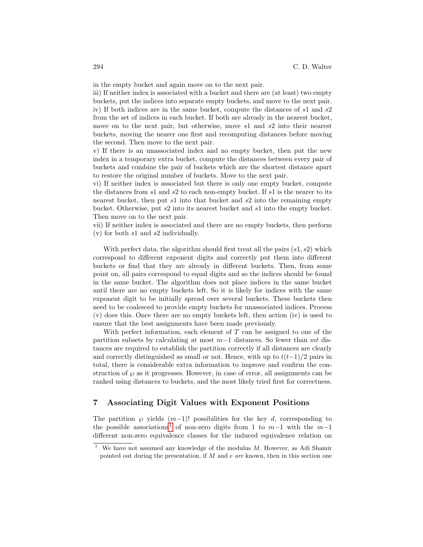in the empty bucket and again move on to the next pair.

iii) If neither index is associated with a bucket and there are (at least) two empty buckets, put the indices into separate empty buckets, and move to the next pair. iv) If both indices are in the same bucket, compute the distances of  $s1$  and  $s2$ from the set of indices in each bucket. If both are already in the nearest bucket, move on to the next pair, but otherwise, move s1 and s2 into their nearest buckets, moving the nearer one first and recomputing distances before moving the second. Then move to the next pair.

v) If there is an unassociated index and no empty bucket, then put the new index in a temporary extra bucket, compute the distances between every pair of buckets and combine the pair of buckets which are the shortest distance apart to restore the original number of buckets. Move to the next pair.

vi) If neither index is associated but there is only one empty bucket, compute the distances from s1 and s2 to each non-empty bucket. If s1 is the nearer to its nearest bucket, then put s1 into that bucket and  $s2$  into the remaining empty bucket. Otherwise, put s2 into its nearest bucket and s1 into the empty bucket. Then move on to the next pair.

vii) If neither index is associated and there are no empty buckets, then perform (v) for both s1 and s2 individually.

With perfect data, the algorithm should first treat all the pairs  $(s1, s2)$  which correspond to different exponent digits and correctly put them into different buckets or find that they are already in different buckets. Then, from some point on, all pairs correspond to equal digits and so the indices should be found in the same bucket. The algorithm does not place indices in the same bucket until there are no empty buckets left. So it is likely for indices with the same exponent digit to be initially spread over several buckets. These buckets then need to be coalesced to provide empty buckets for unassociated indices. Process (v) does this. Once there are no empty buckets left, then action (iv) is used to ensure that the best assignments have been made previously.

With perfect information, each element of  $T$  can be assigned to one of the partition subsets by calculating at most  $m-1$  distances. So fewer than mt distances are required to establish the partition correctly if all distances are clearly and correctly distinguished as small or not. Hence, with up to  $t(t-1)/2$  pairs in total, there is considerable extra information to improve and confirm the construction of  $\wp$  as it progresses. However, in case of error, all assignments can be ranked using distances to buckets, and the most likely tried first for correctness.

## 7 Associating Digit Values with Exponent Positions

The partition  $\wp$  yields  $(m-1)!$  possibilities for the key d, corresponding to the possible associations<sup>[1](#page-8-0)</sup> of non-zero digits from 1 to  $m-1$  with the  $m-1$ different non-zero equivalence classes for the induced equivalence relation on

<span id="page-8-0"></span><sup>&</sup>lt;sup>1</sup> We have not assumed any knowledge of the modulus  $M$ . However, as Adi Shamir pointed out during the presentation, if  $M$  and  $e$  are known, then in this section one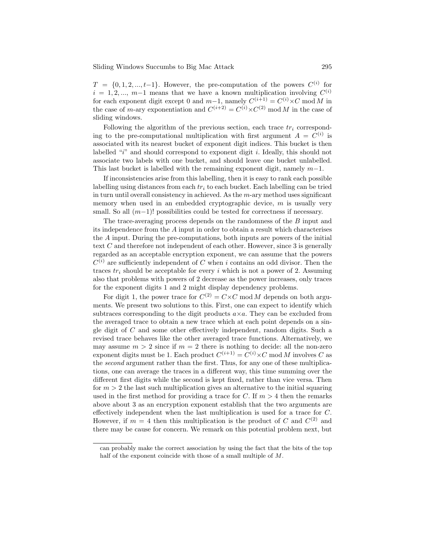$T = \{0, 1, 2, ..., t-1\}$ . However, the pre-computation of the powers  $C^{(i)}$  for  $i = 1, 2, ..., m-1$  means that we have a known multiplication involving  $C^{(i)}$ for each exponent digit except 0 and  $m-1$ , namely  $C^{(i+1)} = C^{(i)} \times C \mod M$  in the case of m-ary exponentiation and  $C^{(i+2)} = C^{(i)} \times C^{(2)}$  mod M in the case of sliding windows.

Following the algorithm of the previous section, each trace  $tr_i$  corresponding to the pre-computational multiplication with first argument  $A = C^{(i)}$  is associated with its nearest bucket of exponent digit indices. This bucket is then labelled " $i$ " and should correspond to exponent digit  $i$ . Ideally, this should not associate two labels with one bucket, and should leave one bucket unlabelled. This last bucket is labelled with the remaining exponent digit, namely  $m-1$ .

If inconsistencies arise from this labelling, then it is easy to rank each possible labelling using distances from each  $tr_i$  to each bucket. Each labelling can be tried in turn until overall consistency in achieved. As the  $m$ -ary method uses significant memory when used in an embedded cryptographic device, m is usually very small. So all  $(m-1)!$  possibilities could be tested for correctness if necessary.

The trace-averaging process depends on the randomness of the B input and its independence from the A input in order to obtain a result which characterises the A input. During the pre-computations, both inputs are powers of the initial text C and therefore not independent of each other. However, since 3 is generally regarded as an acceptable encryption exponent, we can assume that the powers  $C^{(i)}$  are sufficiently independent of C when i contains an odd divisor. Then the traces  $tr_i$  should be acceptable for every i which is not a power of 2. Assuming also that problems with powers of 2 decrease as the power increases, only traces for the exponent digits 1 and 2 might display dependency problems.

For digit 1, the power trace for  $C^{(2)} = C \times C$  mod M depends on both arguments. We present two solutions to this. First, one can expect to identify which subtraces corresponding to the digit products  $a \times a$ . They can be excluded from the averaged trace to obtain a new trace which at each point depends on a single digit of C and some other effectively independent, random digits. Such a revised trace behaves like the other averaged trace functions. Alternatively, we may assume  $m > 2$  since if  $m = 2$  there is nothing to decide: all the non-zero exponent digits must be 1. Each product  $C^{(i+1)} = C^{(i)} \times C$  mod M involves C as the second argument rather than the first. Thus, for any one of these multiplications, one can average the traces in a different way, this time summing over the different first digits while the second is kept fixed, rather than vice versa. Then for  $m > 2$  the last such multiplication gives an alternative to the initial squaring used in the first method for providing a trace for C. If  $m > 4$  then the remarks above about 3 as an encryption exponent establish that the two arguments are effectively independent when the last multiplication is used for a trace for C. However, if  $m = 4$  then this multiplication is the product of C and  $C^{(2)}$  and there may be cause for concern. We remark on this potential problem next, but

can probably make the correct association by using the fact that the bits of the top half of the exponent coincide with those of a small multiple of M.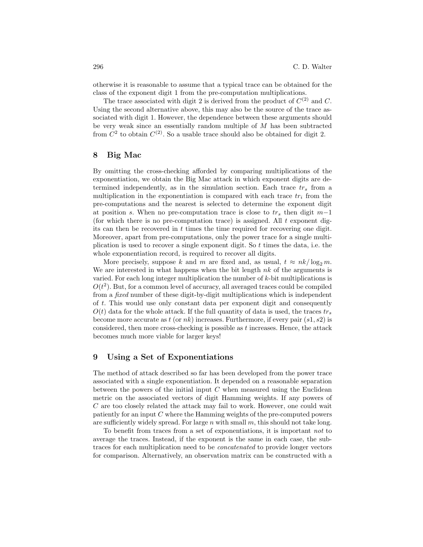otherwise it is reasonable to assume that a typical trace can be obtained for the class of the exponent digit 1 from the pre-computation multiplications.

The trace associated with digit 2 is derived from the product of  $C^{(2)}$  and C. Using the second alternative above, this may also be the source of the trace associated with digit 1. However, the dependence between these arguments should be very weak since an essentially random multiple of M has been subtracted from  $C^2$  to obtain  $C^{(2)}$ . So a usable trace should also be obtained for digit 2.

### 8 Big Mac

By omitting the cross-checking afforded by comparing multiplications of the exponentiation, we obtain the Big Mac attack in which exponent digits are determined independently, as in the simulation section. Each trace  $tr_s$  from a multiplication in the exponentiation is compared with each trace  $tr<sub>i</sub>$  from the pre-computations and the nearest is selected to determine the exponent digit at position s. When no pre-computation trace is close to  $tr_s$  then digit  $m-1$ (for which there is no pre-computation trace) is assigned. All  $t$  exponent digits can then be recovered in t times the time required for recovering one digit. Moreover, apart from pre-computations, only the power trace for a single multiplication is used to recover a single exponent digit. So  $t$  times the data, i.e. the whole exponentiation record, is required to recover all digits.

More precisely, suppose k and m are fixed and, as usual,  $t \approx nk/\log_2 m$ . We are interested in what happens when the bit length  $nk$  of the arguments is varied. For each long integer multiplication the number of k-bit multiplications is  $O(t^2)$ . But, for a common level of accuracy, all averaged traces could be compiled from a fixed number of these digit-by-digit multiplications which is independent of t. This would use only constant data per exponent digit and consequently  $O(t)$  data for the whole attack. If the full quantity of data is used, the traces  $tr_s$ become more accurate as t (or nk) increases. Furthermore, if every pair  $(s1, s2)$  is considered, then more cross-checking is possible as t increases. Hence, the attack becomes much more viable for larger keys!

### 9 Using a Set of Exponentiations

The method of attack described so far has been developed from the power trace associated with a single exponentiation. It depended on a reasonable separation between the powers of the initial input  $C$  when measured using the Euclidean metric on the associated vectors of digit Hamming weights. If any powers of  $C$  are too closely related the attack may fail to work. However, one could wait patiently for an input C where the Hamming weights of the pre-computed powers are sufficiently widely spread. For large  $n$  with small  $m$ , this should not take long.

To benefit from traces from a set of exponentiations, it is important not to average the traces. Instead, if the exponent is the same in each case, the subtraces for each multiplication need to be concatenated to provide longer vectors for comparison. Alternatively, an observation matrix can be constructed with a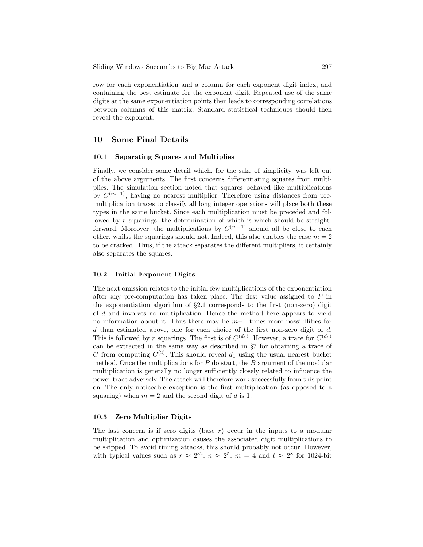row for each exponentiation and a column for each exponent digit index, and containing the best estimate for the exponent digit. Repeated use of the same digits at the same exponentiation points then leads to corresponding correlations between columns of this matrix. Standard statistical techniques should then reveal the exponent.

#### 10 Some Final Details

#### 10.1 Separating Squares and Multiplies

Finally, we consider some detail which, for the sake of simplicity, was left out of the above arguments. The first concerns differentiating squares from multiplies. The simulation section noted that squares behaved like multiplications by  $C^{(m-1)}$ , having no nearest multiplier. Therefore using distances from premultiplication traces to classify all long integer operations will place both these types in the same bucket. Since each multiplication must be preceded and followed by  $r$  squarings, the determination of which is which should be straightforward. Moreover, the multiplications by  $C^{(m-1)}$  should all be close to each other, whilst the squarings should not. Indeed, this also enables the case  $m = 2$ to be cracked. Thus, if the attack separates the different multipliers, it certainly also separates the squares.

#### 10.2 Initial Exponent Digits

The next omission relates to the initial few multiplications of the exponentiation after any pre-computation has taken place. The first value assigned to  $P$  in the exponentiation algorithm of  $\S2.1$  corresponds to the first (non-zero) digit of d and involves no multiplication. Hence the method here appears to yield no information about it. Thus there may be  $m-1$  times more possibilities for d than estimated above, one for each choice of the first non-zero digit of d. This is followed by r squarings. The first is of  $C^{(d_1)}$ . However, a trace for  $C^{(d_1)}$ can be extracted in the same way as described in §7 for obtaining a trace of C from computing  $C^{(2)}$ . This should reveal  $d_1$  using the usual nearest bucket method. Once the multiplications for  $P$  do start, the  $B$  argument of the modular multiplication is generally no longer sufficiently closely related to influence the power trace adversely. The attack will therefore work successfully from this point on. The only noticeable exception is the first multiplication (as opposed to a squaring) when  $m = 2$  and the second digit of d is 1.

#### 10.3 Zero Multiplier Digits

The last concern is if zero digits (base  $r$ ) occur in the inputs to a modular multiplication and optimization causes the associated digit multiplications to be skipped. To avoid timing attacks, this should probably not occur. However, with typical values such as  $r \approx 2^{32}$ ,  $n \approx 2^5$ ,  $m = 4$  and  $t \approx 2^8$  for 1024-bit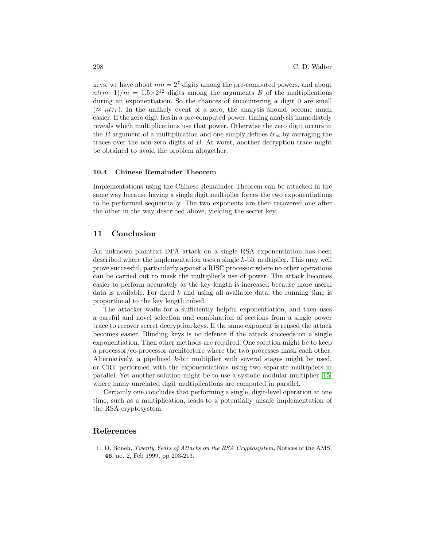keys, we have about  $mn = 2^7$  digits among the pre-computed powers, and about  $nt(m-1)/m = 1.5 \times 2^{12}$  digits among the arguments B of the multiplications during an exponentiation. So the chances of encountering a digit 0 are small  $(\approx nt/r)$ . In the unlikely event of a zero, the analysis should become much easier. If the zero digit lies in a pre-computed power, timing analysis immediately reveals which multiplications use that power. Otherwise the zero digit occurs in the B argument of a multiplication and one simply defines  $tr_{si}$  by averaging the traces over the non-zero digits of B. At worst, another decryption trace might be obtained to avoid the problem altogether.

#### 10.4 Chinese Remainder Theorem

Implementations using the Chinese Remainder Theorem can be attacked in the same way because having a single digit multiplier forces the two exponentiations to be performed sequentially. The two exponents are then recovered one after the other in the way described above, yielding the secret key.

#### 11 Conclusion

An unknown plaintext DPA attack on a single RSA exponentiation has been described where the implementation uses a single k-bit multiplier. This may well prove successful, particularly against a RISC processor where no other operations can be carried out to mask the multiplier's use of power. The attack becomes easier to perform accurately as the key length is increased because more useful data is available. For fixed  $k$  and using all available data, the running time is proportional to the key length cubed.

The attacker waits for a sufficiently helpful exponentiation, and then uses a careful and novel selection and combination of sections from a single power trace to recover secret decryption keys. If the same exponent is reused the attack becomes easier. Blinding keys is no defence if the attack succeeds on a single exponentiation. Then other methods are required. One solution might be to keep a processor/co-processor architecture where the two processes mask each other. Alternatively, a pipelined  $k$ -bit multiplier with several stages might be used, or CRT performed with the exponentiations using two separate multipliers in parallel. Yet another solution might be to use a systolic modular multiplier [\[15\]](#page-13-13) where many unrelated digit multiplications are computed in parallel.

Certainly one concludes that performing a single, digit-level operation at one time, such as a multiplication, leads to a potentially unsafe implementation of the RSA cryptosystem.

### References

<span id="page-12-0"></span>1. D. Boneh, Twenty Years of Attacks on the RSA Cryptosystem, Notices of the AMS, 46, no. 2, Feb 1999, pp 203-213.